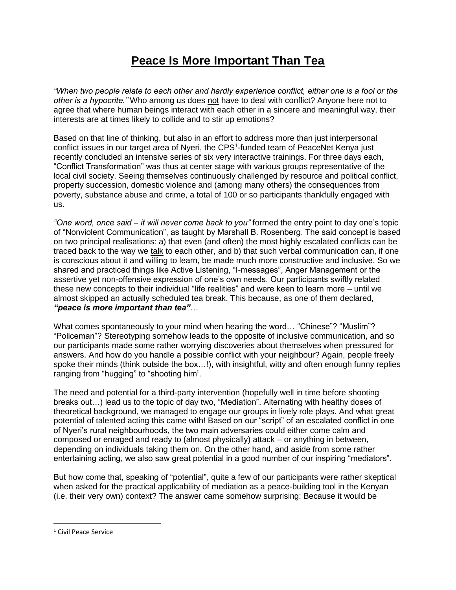## **Peace Is More Important Than Tea**

*"When two people relate to each other and hardly experience conflict, either one is a fool or the other is a hypocrite."* Who among us does not have to deal with conflict? Anyone here not to agree that where human beings interact with each other in a sincere and meaningful way, their interests are at times likely to collide and to stir up emotions?

Based on that line of thinking, but also in an effort to address more than just interpersonal conflict issues in our target area of Nyeri, the CPS<sup>1</sup>-funded team of PeaceNet Kenya just recently concluded an intensive series of six very interactive trainings. For three days each, "Conflict Transformation" was thus at center stage with various groups representative of the local civil society. Seeing themselves continuously challenged by resource and political conflict, property succession, domestic violence and (among many others) the consequences from poverty, substance abuse and crime, a total of 100 or so participants thankfully engaged with us.

*"One word, once said – it will never come back to you"* formed the entry point to day one's topic of "Nonviolent Communication", as taught by Marshall B. Rosenberg. The said concept is based on two principal realisations: a) that even (and often) the most highly escalated conflicts can be traced back to the way we talk to each other, and b) that such verbal communication can, if one is conscious about it and willing to learn, be made much more constructive and inclusive. So we shared and practiced things like Active Listening, "I-messages", Anger Management or the assertive yet non-offensive expression of one's own needs. Our participants swiftly related these new concepts to their individual "life realities" and were keen to learn more – until we almost skipped an actually scheduled tea break. This because, as one of them declared, *"peace is more important than tea"*…

What comes spontaneously to your mind when hearing the word… "Chinese"? "Muslim"? "Policeman"? Stereotyping somehow leads to the opposite of inclusive communication, and so our participants made some rather worrying discoveries about themselves when pressured for answers. And how do you handle a possible conflict with your neighbour? Again, people freely spoke their minds (think outside the box...!), with insightful, witty and often enough funny replies ranging from "hugging" to "shooting him".

The need and potential for a third-party intervention (hopefully well in time before shooting breaks out…) lead us to the topic of day two, "Mediation". Alternating with healthy doses of theoretical background, we managed to engage our groups in lively role plays. And what great potential of talented acting this came with! Based on our "script" of an escalated conflict in one of Nyeri's rural neighbourhoods, the two main adversaries could either come calm and composed or enraged and ready to (almost physically) attack – or anything in between, depending on individuals taking them on. On the other hand, and aside from some rather entertaining acting, we also saw great potential in a good number of our inspiring "mediators".

But how come that, speaking of "potential", quite a few of our participants were rather skeptical when asked for the practical applicability of mediation as a peace-building tool in the Kenyan (i.e. their very own) context? The answer came somehow surprising: Because it would be

 $\overline{\phantom{a}}$ 

<sup>1</sup> Civil Peace Service